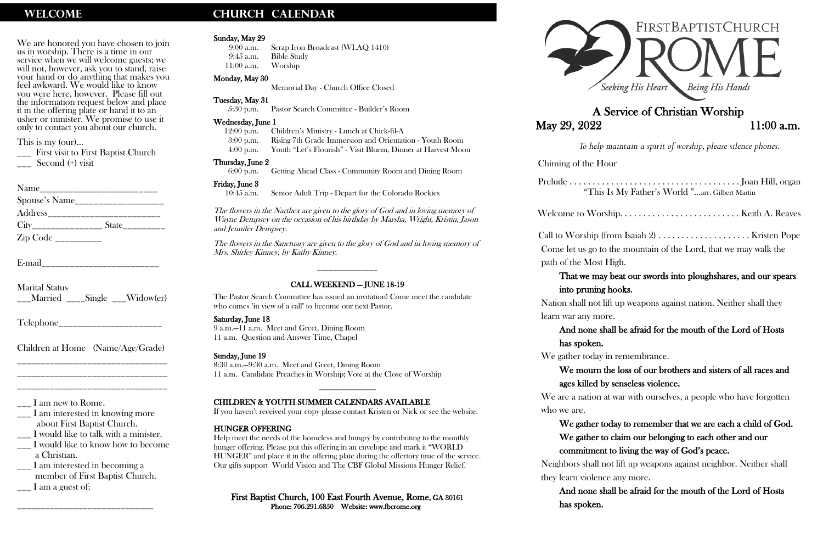We are honored you have chosen to join us in worship. There is a time in our service when we will welcome guests; we will not, however, ask you to stand, raise your hand or do anything that makes you feel awkward. We would like to know you were here, however. Please fill out the information request below and place it in the offering plate or hand it to an usher or minister. We promise to use it only to contact you about our church.

\_\_\_ First visit to First Baptist Church Second (+) visit

| Name                                                                                     |                               |
|------------------------------------------------------------------------------------------|-------------------------------|
| Spouse's Name                                                                            |                               |
| Address                                                                                  |                               |
|                                                                                          | $State$ <sub>__________</sub> |
| $\mathop{\rm Zip}\nolimits\mathop{\rm Code}\nolimits_{\textstyle\_{\textstyle\sim\!-1}}$ |                               |

E-mail

This is my (our)…

- \_\_\_ I would like to know how to become a Christian.
- \_\_\_ I am interested in becoming a member of First Baptist Church.  $\frac{1}{2}$  I am a guest of:

Marital Status \_\_\_Married \_\_\_\_Single \_\_\_Widow(er)

Telephone

Children at Home (Name/Age/Grade) \_\_\_\_\_\_\_\_\_\_\_\_\_\_\_\_\_\_\_\_\_\_\_\_\_\_\_\_\_\_\_\_

\_\_\_\_\_\_\_\_\_\_\_\_\_\_\_\_\_\_\_\_\_\_\_\_\_\_\_\_\_\_\_\_ \_\_\_\_\_\_\_\_\_\_\_\_\_\_\_\_\_\_\_\_\_\_\_\_\_\_\_\_\_\_\_\_

\_\_\_ I am new to Rome.

\_\_\_ I am interested in knowing more about First Baptist Church.

\_\_\_ I would like to talk with a minister.

\_\_\_\_\_\_\_\_\_\_\_\_\_\_\_\_\_\_\_\_\_\_\_\_\_\_\_\_\_

## WELCOME **CHURCH CALENDAR**

### Sunday, May 29

9:00 a.m. Scrap Iron Broadcast (WLAQ 1410) 9:45 a.m. Bible Study 11:00 a.m. Worship

### Monday, May 30

Memorial Day - Church Office Closed

### Tuesday, May 31

5:30 p.m. Pastor Search Committee - Builder's Room

### Wednesday, June 1

### First Baptist Church, 100 East Fourth Avenue, Rome, GA 30161 Phone: 706.291.6850 Website: www.fbcrome.org



# May 29, 2022 11:00 a.m.

12:00 p.m. Children's Ministry - Lunch at Chick-fil-A 3:00 p.m. Rising 7th Grade Immersion and Orientation - Youth Room 4:00 p.m. Youth "Let's Flourish" - Visit Bluem, Dinner at Harvest Moon

### Thursday, June 2

6:00 p.m. Getting Ahead Class - Community Room and Dining Room

### Friday, June 3

10:45 a.m. Senior Adult Trip - Depart for the Colorado Rockies

The flowers in the Narthex are given to the glory of God and in loving memory of Wayne Dempsey on the occasion of his birthday by Marsha, Wright, Kristin, Jason and Jennifer Dempsey.

> We are a nation a who we are.

The flowers in the Sanctuary are given to the glory of God and in loving memory of Mrs. Shirley Kinney, by Kathy Kinney.

\_\_\_\_\_\_\_\_\_\_\_\_\_\_\_

### CALL WEEKEND — JUNE 18-19

The Pastor Search Committee has issued an invitation! Come meet the candidate who comes "in view of a call" to become our next Pastor.

### Saturday, June 18

9 a.m.—11 a.m. Meet and Greet, Dining Room 11 a.m. Question and Answer Time, Chapel

### Sunday, June 19

8:30 a.m.—9:30 a.m. Meet and Greet, Dining Room 11 a.m. Candidate Preaches in Worship; Vote at the Close of Worship

\_\_\_\_\_\_\_\_\_\_\_\_\_\_\_\_

### CHILDREN & YOUTH SUMMER CALENDARS AVAILABLE

If you haven't received your copy please contact Kristen or Nick or see the website.

### HUNGER OFFERING

Help meet the needs of the homeless and hungry by contributing to the monthly hunger offering. Please put this offering in an envelope and mark it "WORLD HUNGER" and place it in the offering plate during the offertory time of the service. Our gifts support World Vision and The CBF Global Missions Hunger Relief.

## A Service of Christian Worship

 *To help maintain a spirit of worship, please silence phones.*

Chiming of the Hour

Prelude . . . . . . . .

Welcome to Worship. .

Call to Worship (from Isabell 2) . The U Come let us go to path of the Most

## That we may

### into pruning

Nation shall not l

learn war any mor

### And none sh

| "This Is My Father's World "arr. Gilbert Martin                                                                         |
|-------------------------------------------------------------------------------------------------------------------------|
|                                                                                                                         |
| ship (from Isaiah 2)  Kristen Pope<br>s go to the mountain of the Lord, that we may walk the<br>Most High.              |
| e may beat our swords into ploughshares, and our spears<br>uning hooks.                                                 |
| l not lift up weapons against nation. Neither shall they                                                                |
| ly more.<br>one shall be afraid for the mouth of the Lord of Hosts                                                      |
| oken.                                                                                                                   |
| today in remembrance.<br>ourn the loss of our brothers and sisters of all races and                                     |
| lled by senseless violence.                                                                                             |
| ation at war with ourselves, a people who have forgotten                                                                |
| $\mathbf{1}$ , $\mathbf{1}$ , $\mathbf{1}$ , $\mathbf{1}$ , $\mathbf{1}$<br>$1 \quad 1 \quad 1 \quad 1 \quad 0 \quad 1$ |

has spoken.

We gather today

### We mourn the loss of  $\mathbf$

### ages killed by

We gather today to remember that we are each a child of God. We gather to claim our belonging to each other and our commitment to living the way of God's peace.

Neighbors shall not lift up weapons against neighbor. Neither shall they learn violence any more.

And none shall be afraid for the mouth of the Lord of Hosts

has spoken.